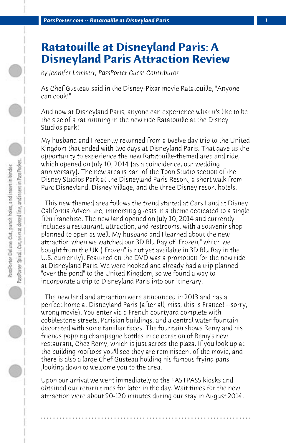## **Ratatouille at Disneyland Paris: A Disneyland Paris Attraction Review**

*by Jennifer Lambert, PassPorter Guest Contributor*

As Chef Gusteau said in the Disney-Pixar movie Ratatouille, "Anyone can cook!"

And now at Disneyland Paris, anyone can experience what it's like to be the size of a rat running in the new ride Ratatouille at the Disney Studios park!

My husband and I recently returned from a twelve day trip to the United Kingdom that ended with two days at Disneyland Paris. That gave us the opportunity to experience the new Ratatouille-themed area and ride, which opened on July 10, 2014 (as a coincidence, our wedding anniversary). The new area is part of the Toon Studio section of the Disney Studios Park at the Disneyland Paris Resort, a short walk from Parc Disneyland, Disney Village, and the three Disney resort hotels.

 This new themed area follows the trend started at Cars Land at Disney California Adventure, immersing guests in a theme dedicated to a single film franchise. The new land opened on July 10, 2014 and currently includes a restaurant, attraction, and restrooms, with a souvenir shop planned to open as well. My husband and I learned about the new attraction when we watched our 3D Blu Ray of "Frozen," which we bought from the UK ("Frozen" is not yet available in 3D Blu Ray in the U.S. currently). Featured on the DVD was a promotion for the new ride at Disneyland Paris. We were hooked and already had a trip planned "over the pond" to the United Kingdom, so we found a way to incorporate a trip to Disneyland Paris into our itinerary.

 The new land and attraction were announced in 2013 and has a perfect home at Disneyland Paris (after all, miss, this is France! --sorry, wrong movie). You enter via a French courtyard complete with cobblestone streets, Parisian buildings, and a central water fountain decorated with some familiar faces. The fountain shows Remy and his friends popping champagne bottles in celebration of Remy's new restaurant, Chez Remy, which is just across the plaza. If you look up at the building rooftops you'll see they are reminiscent of the movie, and there is also a large Chef Gusteau holding his famous frying pans ,looking down to welcome you to the area.

Upon our arrival we went immediately to the FASTPASS kiosks and obtained our return times for later in the day. Wait times for the new attraction were about 90-120 minutes during our stay in August 2014,

**. . . . . . . . . . . . . . . . . . . . . . . . . . . . . . . . . . . . . . . . . . . . . . . . . . . . . . . . . . . . . . . . . .**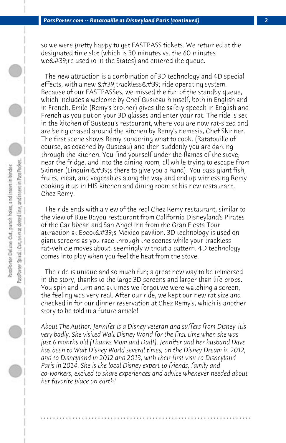so we were pretty happy to get FASTPASS tickets. We returned at the designated time slot (which is 30 minutes vs. the 60 minutes  $we$ 're used to in the States) and entered the queue.

 The new attraction is a combination of 3D technology and 4D special effects, with a new  $\&\#39$ ; trackless $&\#39$ ; ride operating system. Because of our FASTPASSes, we missed the fun of the standby queue, which includes a welcome by Chef Gusteau himself, both in English and in French. Emile (Remy's brother) gives the safety speech in English and French as you put on your 3D glasses and enter your rat. The ride is set in the kitchen of Gusteau's restaurant, where you are now rat-sized and are being chased around the kitchen by Remy's nemesis, Chef Skinner. The first scene shows Remy pondering what to cook, (Ratatouille of course, as coached by Gusteau) and then suddenly you are darting through the kitchen. You find yourself under the flames of the stove; near the fridge, and into the dining room, all while trying to escape from Skinner (Linguini $\&$ #39; there to give you a hand). You pass giant fish, fruits, meat, and vegetables along the way and end up witnessing Remy cooking it up in HIS kitchen and dining room at his new restaurant, Chez Remy.

 The ride ends with a view of the real Chez Remy restaurant, similar to the view of Blue Bayou restaurant from California Disneyland's Pirates of the Caribbean and San Angel Inn from the Gran Fiesta Tour attraction at Epcot's Mexico pavilion. 3D technology is used on giant screens as you race through the scenes while your trackless rat-vehicle moves about, seemingly without a pattern. 4D technology comes into play when you feel the heat from the stove.

 The ride is unique and so much fun; a great new way to be immersed in the story, thanks to the large 3D screens and larger than life props. You spin and turn and at times we forgot we were watching a screen; the feeling was very real. After our ride, we kept our new rat size and checked in for our dinner reservation at Chez Remy's, which is another story to be told in a future article!

*About The Author: Jennifer is a Disney veteran and suffers from Disney-itis very badly. She visited Walt Disney World for the first time when she was just 6 months old (Thanks Mom and Dad!). Jennifer and her husband Dave has been to Walt Disney World several times, on the Disney Dream in 2012, and to Disneyland in 2012 and 2013, with their first visit to Disneyland Paris in 2014. She is the local Disney expert to friends, family and co-workers, excited to share experiences and advice whenever needed about her favorite place on earth!*

**. . . . . . . . . . . . . . . . . . . . . . . . . . . . . . . . . . . . . . . . . . . . . . . . . . . . . . . . . . . . . . . . . .**